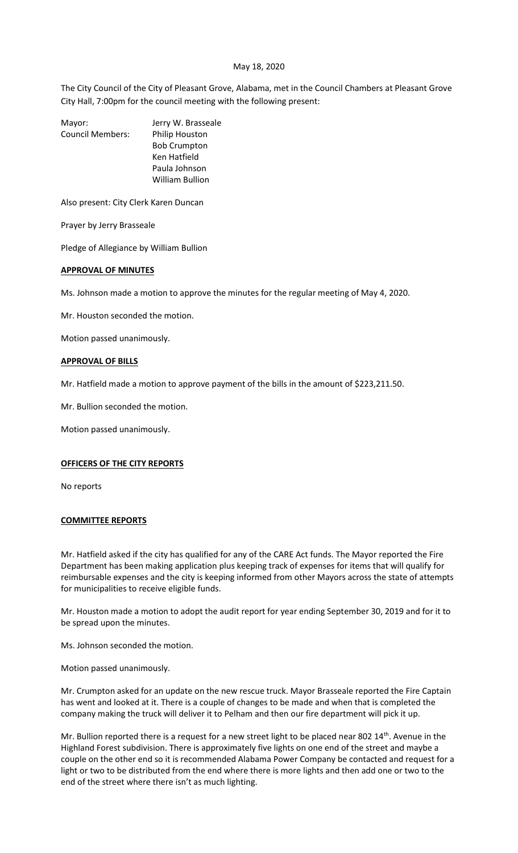### May 18, 2020

The City Council of the City of Pleasant Grove, Alabama, met in the Council Chambers at Pleasant Grove City Hall, 7:00pm for the council meeting with the following present:

| Mayor:                  | Jerry W. Brasseale     |
|-------------------------|------------------------|
| <b>Council Members:</b> | Philip Houston         |
|                         | <b>Bob Crumpton</b>    |
|                         | Ken Hatfield           |
|                         | Paula Johnson          |
|                         | <b>William Bullion</b> |
|                         |                        |

Also present: City Clerk Karen Duncan

Prayer by Jerry Brasseale

Pledge of Allegiance by William Bullion

### **APPROVAL OF MINUTES**

Ms. Johnson made a motion to approve the minutes for the regular meeting of May 4, 2020.

Mr. Houston seconded the motion.

Motion passed unanimously.

### **APPROVAL OF BILLS**

Mr. Hatfield made a motion to approve payment of the bills in the amount of \$223,211.50.

Mr. Bullion seconded the motion.

Motion passed unanimously.

## **OFFICERS OF THE CITY REPORTS**

No reports

## **COMMITTEE REPORTS**

Mr. Hatfield asked if the city has qualified for any of the CARE Act funds. The Mayor reported the Fire Department has been making application plus keeping track of expenses for items that will qualify for reimbursable expenses and the city is keeping informed from other Mayors across the state of attempts for municipalities to receive eligible funds.

Mr. Houston made a motion to adopt the audit report for year ending September 30, 2019 and for it to be spread upon the minutes.

Ms. Johnson seconded the motion.

Motion passed unanimously.

Mr. Crumpton asked for an update on the new rescue truck. Mayor Brasseale reported the Fire Captain has went and looked at it. There is a couple of changes to be made and when that is completed the company making the truck will deliver it to Pelham and then our fire department will pick it up.

Mr. Bullion reported there is a request for a new street light to be placed near 802 14<sup>th</sup>. Avenue in the Highland Forest subdivision. There is approximately five lights on one end of the street and maybe a couple on the other end so it is recommended Alabama Power Company be contacted and request for a light or two to be distributed from the end where there is more lights and then add one or two to the end of the street where there isn't as much lighting.